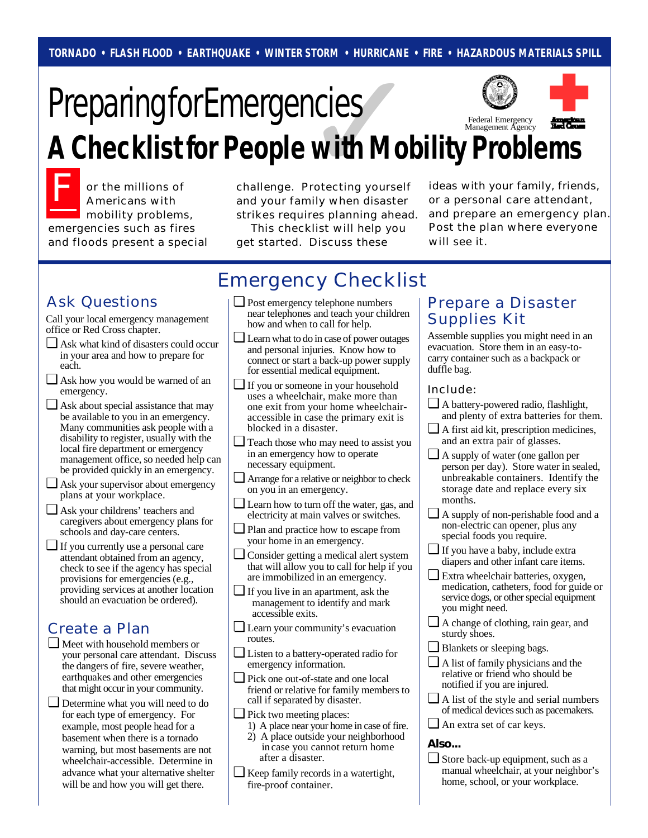# ✓ Federal Emergency Management Agency **Preparing for Emergencies A Checklist for People with Mobility Problems**

F or the millions of Americans with mobility problems, emergencies such as fires and floods present a special

challenge. Protecting yourself and your family when disaster strikes requires planning ahead.

 This checklist will help you get started. Discuss these

ideas with your family, friends, or a personal care attendant, and prepare an emergency plan. Post the plan where everyone will see it.

# Emergency Checklist

Call your local emergency management office or Red Cross chapter.

- ❏ Ask what kind of disasters could occur in your area and how to prepare for each.
- ❏ Ask how you would be warned of an emergency.
- ❏ Ask about special assistance that may be available to you in an emergency. Many communities ask people with a disability to register, usually with the local fire department or emergency management office, so needed help can be provided quickly in an emergency.
- ❏ Ask your supervisor about emergency plans at your workplace.
- ❏ Ask your childrens' teachers and caregivers about emergency plans for schools and day-care centers.
- ❏ If you currently use a personal care attendant obtained from an agency, check to see if the agency has special provisions for emergencies (e.g., providing services at another location should an evacuation be ordered).

### Create a Plan

- ❏ Meet with household members or your personal care attendant. Discuss the dangers of fire, severe weather, earthquakes and other emergencies that might occur in your community.
- ❏ Determine what you will need to do for each type of emergency. For example, most people head for a basement when there is a tornado warning, but most basements are not wheelchair-accessible. Determine in advance what your alternative shelter will be and how you will get there.
- Ask Questions  $|\Box$  Post emergency telephone numbers | Prepare a Disaster ❏ Post emergency telephone numbers near telephones and teach your children how and when to call for help.
	- ❏ Learn what to do in case of power outages and personal injuries. Know how to connect or start a back-up power supply for essential medical equipment.
	- ❏ If you or someone in your household uses a wheelchair, make more than one exit from your home wheelchairaccessible in case the primary exit is blocked in a disaster.
	- ❏ Teach those who may need to assist you in an emergency how to operate necessary equipment.
	- ❏ Arrange for a relative or neighbor to check on you in an emergency.
	- ❏ Learn how to turn off the water, gas, and electricity at main valves or switches.
	- ❏ Plan and practice how to escape from your home in an emergency.
	- ❏ Consider getting a medical alert system that will allow you to call for help if you are immobilized in an emergency.
	- ❏ If you live in an apartment, ask the management to identify and mark accessible exits.
	- ❏ Learn your community's evacuation routes.
	- ❏ Listen to a battery-operated radio for emergency information.
	- ❏ Pick one out-of-state and one local friend or relative for family members to call if separated by disaster.
	- ❏ Pick two meeting places:
		- 1) A place near your home in case of fire. 2) A place outside your neighborhood
	- after a disaster. ❏ Keep family records in a watertight,
- in case you cannot return home
	- fire-proof container.

# Supplies Kit

Assemble supplies you might need in an evacuation. Store them in an easy-tocarry container such as a backpack or duffle bag.

#### Include:

- ❏ A battery-powered radio, flashlight, and plenty of extra batteries for them.
- ❏ A first aid kit, prescription medicines, and an extra pair of glasses.
- ❏ A supply of water (one gallon per person per day). Store water in sealed, unbreakable containers. Identify the storage date and replace every six months.
- ❏ A supply of non-perishable food and a non-electric can opener, plus any special foods you require.
- ❏ If you have a baby, include extra diapers and other infant care items.
- ❏ Extra wheelchair batteries, oxygen, medication, catheters, food for guide or service dogs, or other special equipment you might need.
- ❏ A change of clothing, rain gear, and sturdy shoes.
- ❏ Blankets or sleeping bags.
- ❏ A list of family physicians and the relative or friend who should be notified if you are injured.
- ❏ A list of the style and serial numbers of medical devices such as pacemakers.
- ❏ An extra set of car keys.

#### **Also...**

❏ Store back-up equipment, such as a manual wheelchair, at your neighbor's home, school, or your workplace.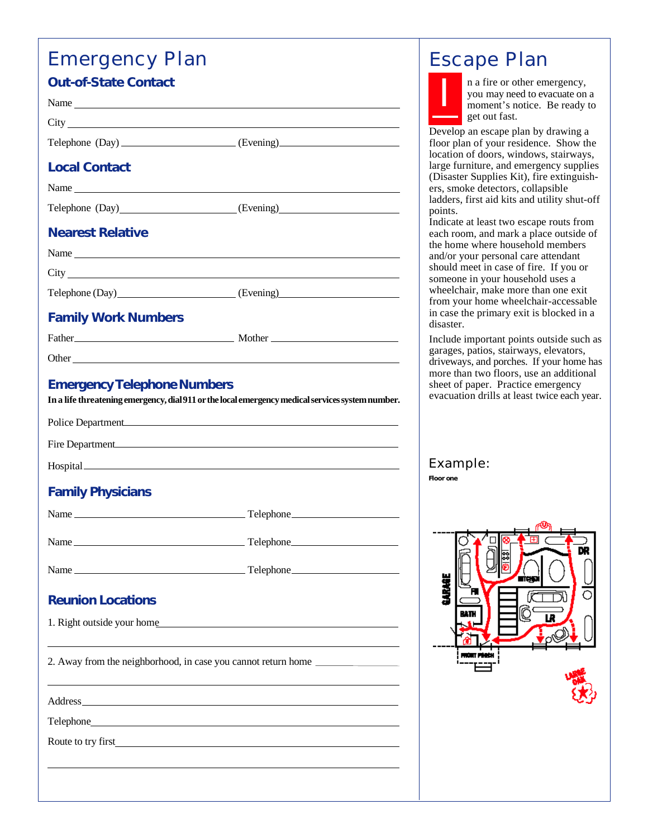## Emergency Plan **Out-of-State Contact**

| Out-OF-State Contact               |                                                                                                                                                                                                                                      |
|------------------------------------|--------------------------------------------------------------------------------------------------------------------------------------------------------------------------------------------------------------------------------------|
|                                    |                                                                                                                                                                                                                                      |
|                                    | City <u>the contract of the contract of the contract of the contract of the contract of the contract of the contract of the contract of the contract of the contract of the contract of the contract of the contract of the cont</u> |
|                                    | Telephone (Day) _______________________(Evening)________________________________                                                                                                                                                     |
| <b>Local Contact</b>               |                                                                                                                                                                                                                                      |
|                                    |                                                                                                                                                                                                                                      |
|                                    | Telephone (Day)______________________(Evening)__________________________________                                                                                                                                                     |
| <b>Nearest Relative</b>            |                                                                                                                                                                                                                                      |
|                                    |                                                                                                                                                                                                                                      |
|                                    |                                                                                                                                                                                                                                      |
|                                    |                                                                                                                                                                                                                                      |
| <b>Family Work Numbers</b>         |                                                                                                                                                                                                                                      |
|                                    |                                                                                                                                                                                                                                      |
|                                    |                                                                                                                                                                                                                                      |
| <b>Emergency Telephone Numbers</b> | In a life threatening emergency, dial 911 or the local emergency medical services system number.                                                                                                                                     |
| Police Department                  |                                                                                                                                                                                                                                      |
|                                    | Fire Department                                                                                                                                                                                                                      |
|                                    |                                                                                                                                                                                                                                      |
| <b>Family Physicians</b>           |                                                                                                                                                                                                                                      |
|                                    |                                                                                                                                                                                                                                      |
|                                    |                                                                                                                                                                                                                                      |
|                                    |                                                                                                                                                                                                                                      |
| <b>Reunion Locations</b>           |                                                                                                                                                                                                                                      |
|                                    | 1. Right outside your home                                                                                                                                                                                                           |
|                                    | 2. Away from the neighborhood, in case you cannot return home __________________                                                                                                                                                     |
|                                    |                                                                                                                                                                                                                                      |
|                                    |                                                                                                                                                                                                                                      |
|                                    |                                                                                                                                                                                                                                      |
|                                    |                                                                                                                                                                                                                                      |
|                                    |                                                                                                                                                                                                                                      |

# Escape Plan

I

n a fire or other emergency, you may need to evacuate on a moment's notice. Be ready to get out fast.

Develop an escape plan by drawing a floor plan of your residence. Show the location of doors, windows, stairways, large furniture, and emergency supplies (Disaster Supplies Kit), fire extinguishers, smoke detectors, collapsible ladders, first aid kits and utility shut-off points.

Indicate at least two escape routs from each room, and mark a place outside of the home where household members and/or your personal care attendant should meet in case of fire. If you or someone in your household uses a wheelchair, make more than one exit from your home wheelchair-accessable in case the primary exit is blocked in a disaster.

Include important points outside such as garages, patios, stairways, elevators, driveways, and porches. If your home has more than two floors, use an additional sheet of paper. Practice emergency evacuation drills at least twice each year.

Example:

**Floor one**

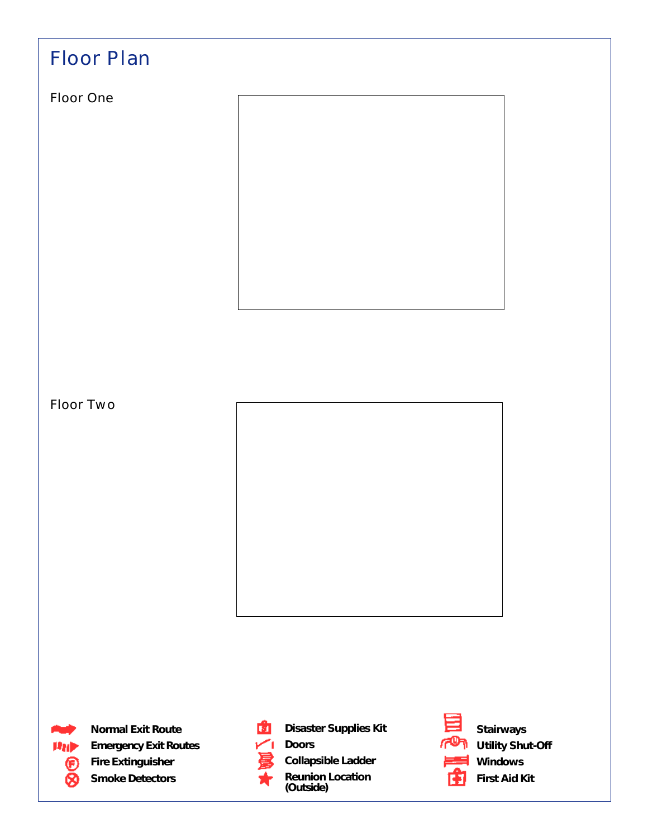